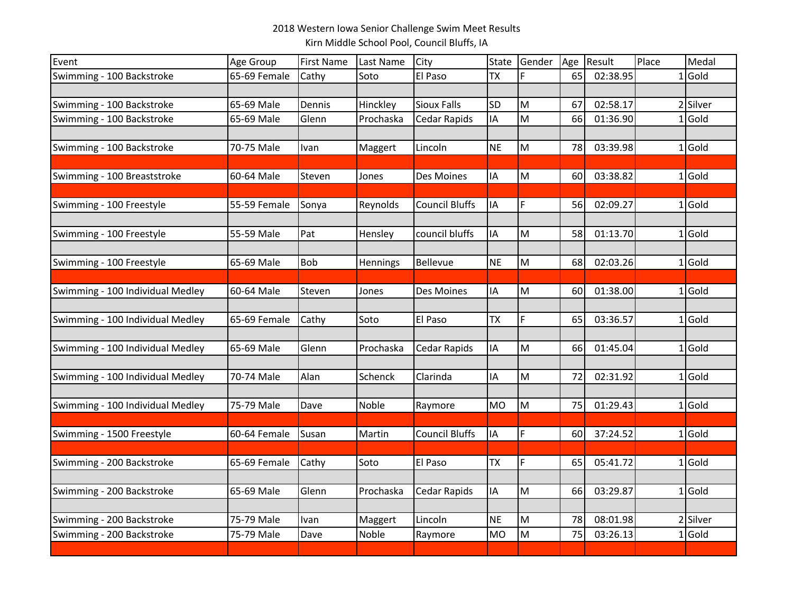## 2018 Western Iowa Senior Challenge Swim Meet Results Kirn Middle School Pool, Council Bluffs, IA

| Event                            | Age Group    | <b>First Name</b> | Last Name | City                  | State     | Gender | Age | Result   | Place | Medal    |
|----------------------------------|--------------|-------------------|-----------|-----------------------|-----------|--------|-----|----------|-------|----------|
| Swimming - 100 Backstroke        | 65-69 Female | Cathy             | Soto      | El Paso               | <b>TX</b> |        | 65  | 02:38.95 |       | $1$ Gold |
|                                  |              |                   |           |                       |           |        |     |          |       |          |
| Swimming - 100 Backstroke        | 65-69 Male   | Dennis            | Hinckley  | <b>Sioux Falls</b>    | <b>SD</b> | M      | 67  | 02:58.17 |       | 2 Silver |
| Swimming - 100 Backstroke        | 65-69 Male   | Glenn             | Prochaska | Cedar Rapids          | IA        | M      | 66  | 01:36.90 |       | $1$ Gold |
|                                  |              |                   |           |                       |           |        |     |          |       |          |
| Swimming - 100 Backstroke        | 70-75 Male   | Ivan              | Maggert   | Lincoln               | <b>NE</b> | M      | 78  | 03:39.98 |       | $1$ Gold |
|                                  |              |                   |           |                       |           |        |     |          |       |          |
| Swimming - 100 Breaststroke      | 60-64 Male   | Steven            | Jones     | Des Moines            | ΙA        | M      | 60  | 03:38.82 |       | $1$ Gold |
|                                  |              |                   |           |                       |           |        |     |          |       |          |
| Swimming - 100 Freestyle         | 55-59 Female | Sonya             | Reynolds  | <b>Council Bluffs</b> | IA        | F      | 56  | 02:09.27 |       | $1$ Gold |
|                                  |              |                   |           |                       |           |        |     |          |       |          |
| Swimming - 100 Freestyle         | 55-59 Male   | Pat               | Hensley   | council bluffs        | ΙA        | M      | 58  | 01:13.70 |       | $1$ Gold |
|                                  |              |                   |           |                       |           |        |     |          |       |          |
| Swimming - 100 Freestyle         | 65-69 Male   | Bob               | Hennings  | Bellevue              | <b>NE</b> | M      | 68  | 02:03.26 |       | $1$ Gold |
|                                  |              |                   |           |                       |           |        |     |          |       |          |
| Swimming - 100 Individual Medley | 60-64 Male   | Steven            | Jones     | Des Moines            | IA        | M      | 60  | 01:38.00 |       | $1$ Gold |
|                                  |              |                   |           |                       |           |        |     |          |       |          |
| Swimming - 100 Individual Medley | 65-69 Female | Cathy             | Soto      | El Paso               | <b>TX</b> | F      | 65  | 03:36.57 |       | $1$ Gold |
|                                  |              |                   |           |                       |           |        |     |          |       |          |
| Swimming - 100 Individual Medley | 65-69 Male   | Glenn             | Prochaska | Cedar Rapids          | IA        | M      | 66  | 01:45.04 |       | $1$ Gold |
|                                  |              |                   |           |                       |           |        |     |          |       |          |
| Swimming - 100 Individual Medley | 70-74 Male   | Alan              | Schenck   | Clarinda              | ΙA        | M      | 72  | 02:31.92 |       | $1$ Gold |
|                                  |              |                   |           |                       |           |        |     |          |       |          |
| Swimming - 100 Individual Medley | 75-79 Male   | Dave              | Noble     | Raymore               | <b>MO</b> | M      | 75  | 01:29.43 |       | $1$ Gold |
|                                  |              |                   |           |                       |           |        |     |          |       |          |
| Swimming - 1500 Freestyle        | 60-64 Female | Susan             | Martin    | <b>Council Bluffs</b> | IA        | F      | 60  | 37:24.52 |       | $1$ Gold |
|                                  |              |                   |           |                       |           |        |     |          |       |          |
| Swimming - 200 Backstroke        | 65-69 Female | Cathy             | Soto      | El Paso               | <b>TX</b> | F      | 65  | 05:41.72 |       | $1$ Gold |
|                                  |              |                   |           |                       |           |        |     |          |       |          |
| Swimming - 200 Backstroke        | 65-69 Male   | Glenn             | Prochaska | Cedar Rapids          | IA        | M      | 66  | 03:29.87 |       | $1$ Gold |
|                                  |              |                   |           |                       |           |        |     |          |       |          |
| Swimming - 200 Backstroke        | 75-79 Male   | Ivan              | Maggert   | Lincoln               | <b>NE</b> | M      | 78  | 08:01.98 |       | 2 Silver |
| Swimming - 200 Backstroke        | 75-79 Male   | Dave              | Noble     | Raymore               | <b>MO</b> | M      | 75  | 03:26.13 |       | $1$ Gold |
|                                  |              |                   |           |                       |           |        |     |          |       |          |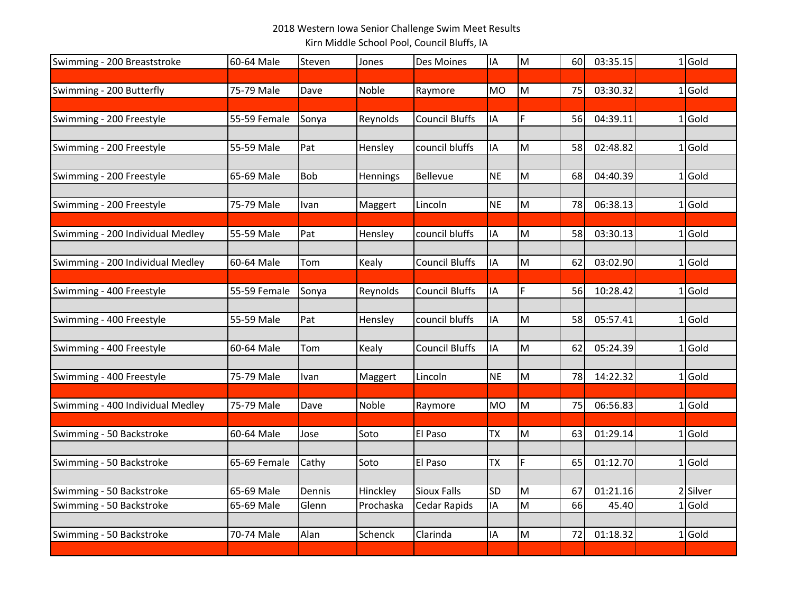## 2018 Western Iowa Senior Challenge Swim Meet Results Kirn Middle School Pool, Council Bluffs, IA

| Swimming - 200 Breaststroke      | 60-64 Male   | Steven | Jones     | Des Moines            | ΙA        | M  | 60 | 03:35.15 | $1$ Gold |
|----------------------------------|--------------|--------|-----------|-----------------------|-----------|----|----|----------|----------|
|                                  |              |        |           |                       |           |    |    |          |          |
| Swimming - 200 Butterfly         | 75-79 Male   | Dave   | Noble     | Raymore               | <b>MO</b> | lм | 75 | 03:30.32 | $1$ Gold |
|                                  |              |        |           |                       |           |    |    |          |          |
| Swimming - 200 Freestyle         | 55-59 Female | Sonya  | Reynolds  | <b>Council Bluffs</b> | ΙA        | F  | 56 | 04:39.11 | $1$ Gold |
| Swimming - 200 Freestyle         | 55-59 Male   | Pat    | Hensley   | council bluffs        | IA        | M  | 58 | 02:48.82 | $1$ Gold |
|                                  |              |        |           |                       |           |    |    |          |          |
| Swimming - 200 Freestyle         | 65-69 Male   | Bob    | Hennings  | Bellevue              | <b>NE</b> | M  | 68 | 04:40.39 | $1$ Gold |
|                                  |              |        |           |                       |           |    |    |          |          |
| Swimming - 200 Freestyle         | 75-79 Male   | Ivan   | Maggert   | Lincoln               | <b>NE</b> | M  | 78 | 06:38.13 | $1$ Gold |
| Swimming - 200 Individual Medley | 55-59 Male   | Pat    | Hensley   | council bluffs        | ΙA        | M  | 58 | 03:30.13 | $1$ Gold |
| Swimming - 200 Individual Medley | 60-64 Male   | Tom    | Kealy     | Council Bluffs        | IA        | M  | 62 | 03:02.90 | $1$ Gold |
|                                  |              |        |           |                       |           |    |    |          |          |
| Swimming - 400 Freestyle         | 55-59 Female | Sonya  | Reynolds  | Council Bluffs        | IA        | F  | 56 | 10:28.42 | $1$ Gold |
|                                  |              |        |           | council bluffs        |           |    | 58 |          |          |
| Swimming - 400 Freestyle         | 55-59 Male   | Pat    | Hensley   |                       | ΙA        | M  |    | 05:57.41 | $1$ Gold |
| Swimming - 400 Freestyle         | 60-64 Male   | Tom    | Kealy     | <b>Council Bluffs</b> | IA        | M  | 62 | 05:24.39 | $1$ Gold |
| Swimming - 400 Freestyle         | 75-79 Male   | Ivan   | Maggert   | Lincoln               | <b>NE</b> | M  | 78 | 14:22.32 | $1$ Gold |
|                                  |              |        |           |                       |           |    |    |          |          |
| Swimming - 400 Individual Medley | 75-79 Male   | Dave   | Noble     | Raymore               | <b>MO</b> | M  | 75 | 06:56.83 | $1$ Gold |
| Swimming - 50 Backstroke         | 60-64 Male   | Jose   | Soto      | El Paso               | <b>TX</b> | M  | 63 | 01:29.14 | $1$ Gold |
|                                  |              |        |           |                       |           |    |    |          |          |
| Swimming - 50 Backstroke         | 65-69 Female | Cathy  | Soto      | El Paso               | <b>TX</b> | F  | 65 | 01:12.70 | $1$ Gold |
|                                  |              |        |           |                       |           |    |    |          |          |
| Swimming - 50 Backstroke         | 65-69 Male   | Dennis | Hinckley  | <b>Sioux Falls</b>    | <b>SD</b> | M  | 67 | 01:21.16 | 2 Silver |
| Swimming - 50 Backstroke         | 65-69 Male   | Glenn  | Prochaska | Cedar Rapids          | ΙA        | M  | 66 | 45.40    | $1$ Gold |
| Swimming - 50 Backstroke         | 70-74 Male   | Alan   | Schenck   | Clarinda              | ΙA        | M  | 72 | 01:18.32 | $1$ Gold |
|                                  |              |        |           |                       |           |    |    |          |          |